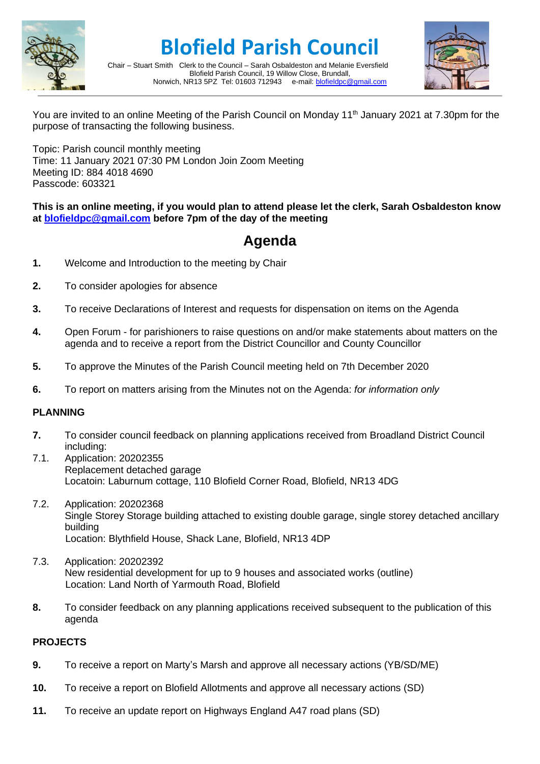

# **Blofield Parish Council**



Chair – Stuart Smith Clerk to the Council – Sarah Osbaldeston and Melanie Eversfield Blofield Parish Council, 19 Willow Close, Brundall, Norwich, NR13 5PZ Tel: 01603 712943 e-mail: [blofieldpc@gmail.com](mailto:blofieldpc@gmail.com)

You are invited to an online Meeting of the Parish Council on Monday 11<sup>th</sup> January 2021 at 7.30pm for the purpose of transacting the following business.

Topic: Parish council monthly meeting Time: 11 January 2021 07:30 PM London Join Zoom Meeting Meeting ID: 884 4018 4690 Passcode: 603321

**This is an online meeting, if you would plan to attend please let the clerk, Sarah Osbaldeston know at [blofieldpc@gmail.com](mailto:blofieldpc@gmail.com) before 7pm of the day of the meeting**

# **Agenda**

- **1.** Welcome and Introduction to the meeting by Chair
- **2.** To consider apologies for absence
- **3.** To receive Declarations of Interest and requests for dispensation on items on the Agenda
- **4.** Open Forum for parishioners to raise questions on and/or make statements about matters on the agenda and to receive a report from the District Councillor and County Councillor
- **5.** To approve the Minutes of the Parish Council meeting held on 7th December 2020
- **6.** To report on matters arising from the Minutes not on the Agenda: *for information only*

## **PLANNING**

- **7.** To consider council feedback on planning applications received from Broadland District Council including:
- 7.1. Application: 20202355 Replacement detached garage Locatoin: Laburnum cottage, 110 Blofield Corner Road, Blofield, NR13 4DG
- 7.2. Application: 20202368 Single Storey Storage building attached to existing double garage, single storey detached ancillary building Location: Blythfield House, Shack Lane, Blofield, NR13 4DP
- 7.3. Application: 20202392 New residential development for up to 9 houses and associated works (outline) Location: Land North of Yarmouth Road, Blofield
- **8.** To consider feedback on any planning applications received subsequent to the publication of this agenda

## **PROJECTS**

- **9.** To receive a report on Marty's Marsh and approve all necessary actions (YB/SD/ME)
- **10.** To receive a report on Blofield Allotments and approve all necessary actions (SD)
- **11.** To receive an update report on Highways England A47 road plans (SD)